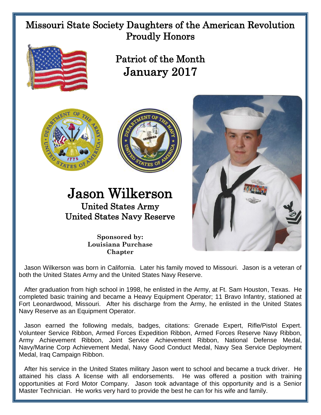## Missouri State Society Daughters of the American Revolution Proudly Honors



Patriot of the Month January 2017





## Jason Wilkerson United States Army United States Navy Reserve



**Sponsored by: Louisiana Purchase Chapter**

 Jason Wilkerson was born in California. Later his family moved to Missouri. Jason is a veteran of both the United States Army and the United States Navy Reserve.

 After graduation from high school in 1998, he enlisted in the Army, at Ft. Sam Houston, Texas. He completed basic training and became a Heavy Equipment Operator; 11 Bravo Infantry, stationed at Fort Leonardwood, Missouri. After his discharge from the Army, he enlisted in the United States Navy Reserve as an Equipment Operator.

 Jason earned the following medals, badges, citations: Grenade Expert, Rifle/Pistol Expert. Volunteer Service Ribbon, Armed Forces Expedition Ribbon, Armed Forces Reserve Navy Ribbon, Army Achievement Ribbon, Joint Service Achievement Ribbon, National Defense Medal, Navy/Marine Corp Achievement Medal, Navy Good Conduct Medal, Navy Sea Service Deployment Medal, Iraq Campaign Ribbon.

 After his service in the United States military Jason went to school and became a truck driver. He attained his class A license with all endorsements. He was offered a position with training opportunities at Ford Motor Company. Jason took advantage of this opportunity and is a Senior Master Technician. He works very hard to provide the best he can for his wife and family.